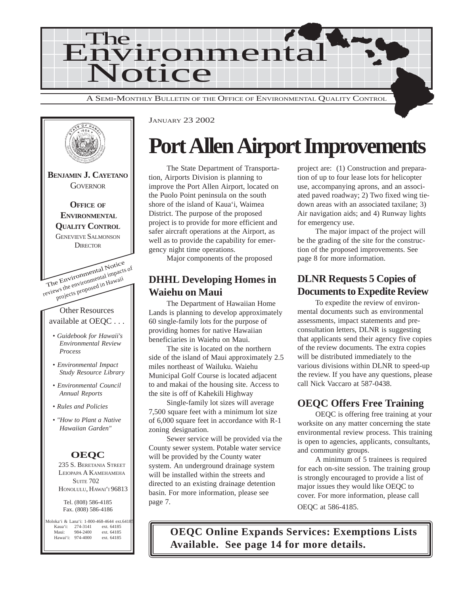



JANUARY 23 2002

# **Port Allen Airport Improvements**

The State Department of Transportation, Airports Division is planning to improve the Port Allen Airport, located on the Puolo Point peninsula on the south shore of the island of Kaua'i, Waimea District. The purpose of the proposed project is to provide for more efficient and safer aircraft operations at the Airport, as well as to provide the capability for emergency night time operations.

Major components of the proposed

# **DHHL Developing Homes in Waiehu on Maui**

The Department of Hawaiian Home Lands is planning to develop approximately 60 single-family lots for the purpose of providing homes for native Hawaiian beneficiaries in Waiehu on Maui.

The site is located on the northern side of the island of Maui approximately 2.5 miles northeast of Wailuku. Waiehu Municipal Golf Course is located adjacent to and makai of the housing site. Access to the site is off of Kahekili Highway

Single-family lot sizes will average 7,500 square feet with a minimum lot size of 6,000 square feet in accordance with R-1 zoning designation.

Sewer service will be provided via the County sewer system. Potable water service will be provided by the County water system. An underground drainage system will be installed within the streets and directed to an existing drainage detention basin. For more information, please see page 7.

project are: (1) Construction and preparation of up to four lease lots for helicopter use, accompanying aprons, and an associated paved roadway; 2) Two fixed wing tiedown areas with an associated taxilane; 3) Air navigation aids; and 4) Runway lights for emergency use.

The major impact of the project will be the grading of the site for the construction of the proposed improvements. See page 8 for more information.

# **DLNR Requests 5 Copies of Documents to Expedite Review**

To expedite the review of environmental documents such as environmental assessments, impact statements and preconsultation letters, DLNR is suggesting that applicants send their agency five copies of the review documents. The extra copies will be distributed immediately to the various divisions within DLNR to speed-up the review. If you have any questions, please call Nick Vaccaro at 587-0438.

# **OEQC Offers Free Training**

OEQC is offering free training at your worksite on any matter concerning the state environmental review process. This training is open to agencies, applicants, consultants, and community groups.

A minimum of 5 trainees is required for each on-site session. The training group is strongly encouraged to provide a list of major issues they would like OEQC to cover. For more information, please call OEQC at 586-4185.

**OEQC Online Expands Services: Exemptions Lists Available. See page 14 for more details.**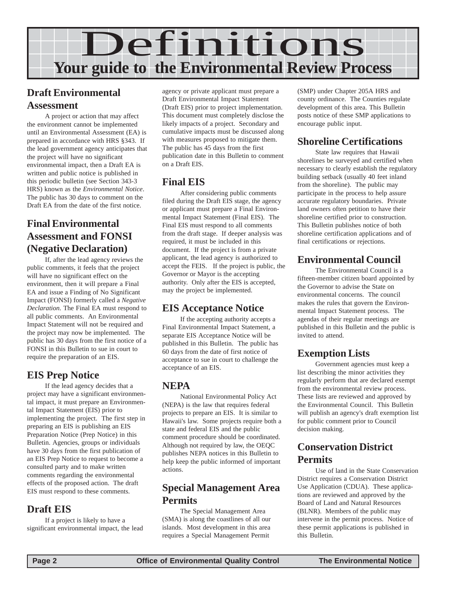

# **Draft Environmental Assessment**

A project or action that may affect the environment cannot be implemented until an Environmental Assessment (EA) is prepared in accordance with HRS §343. If the lead government agency anticipates that the project will have no significant environmental impact, then a Draft EA is written and public notice is published in this periodic bulletin (see Section 343-3 HRS) known as the *Environmental Notice*. The public has 30 days to comment on the Draft EA from the date of the first notice.

# **Final Environmental Assessment and FONSI (Negative Declaration)**

If, after the lead agency reviews the public comments, it feels that the project will have no significant effect on the environment, then it will prepare a Final EA and issue a Finding of No Significant Impact (FONSI) formerly called a *Negative Declaration.* The Final EA must respond to all public comments. An Environmental Impact Statement will not be required and the project may now be implemented. The public has 30 days from the first notice of a FONSI in this Bulletin to sue in court to require the preparation of an EIS.

# **EIS Prep Notice**

If the lead agency decides that a project may have a significant environmental impact, it must prepare an Environmental Impact Statement (EIS) prior to implementing the project. The first step in preparing an EIS is publishing an EIS Preparation Notice (Prep Notice) in this Bulletin. Agencies, groups or individuals have 30 days from the first publication of an EIS Prep Notice to request to become a consulted party and to make written comments regarding the environmental effects of the proposed action. The draft EIS must respond to these comments.

### **Draft EIS**

If a project is likely to have a significant environmental impact, the lead

agency or private applicant must prepare a Draft Environmental Impact Statement (Draft EIS) prior to project implementation. This document must completely disclose the likely impacts of a project. Secondary and cumulative impacts must be discussed along with measures proposed to mitigate them. The public has 45 days from the first publication date in this Bulletin to comment on a Draft EIS.

### **Final EIS**

After considering public comments filed during the Draft EIS stage, the agency or applicant must prepare a Final Environmental Impact Statement (Final EIS). The Final EIS must respond to all comments from the draft stage. If deeper analysis was required, it must be included in this document. If the project is from a private applicant, the lead agency is authorized to accept the FEIS. If the project is public, the Governor or Mayor is the accepting authority. Only after the EIS is accepted, may the project be implemented.

### **EIS Acceptance Notice**

If the accepting authority accepts a Final Environmental Impact Statement, a separate EIS Acceptance Notice will be published in this Bulletin. The public has 60 days from the date of first notice of acceptance to sue in court to challenge the acceptance of an EIS.

# **NEPA**

National Environmental Policy Act (NEPA) is the law that requires federal projects to prepare an EIS. It is similar to Hawaii's law. Some projects require both a state and federal EIS and the public comment procedure should be coordinated. Although not required by law, the OEQC publishes NEPA notices in this Bulletin to help keep the public informed of important actions.

## **Special Management Area Permits**

The Special Management Area (SMA) is along the coastlines of all our islands. Most development in this area requires a Special Management Permit

(SMP) under Chapter 205A HRS and county ordinance. The Counties regulate development of this area. This Bulletin posts notice of these SMP applications to encourage public input.

# **Shoreline Certifications**

State law requires that Hawaii shorelines be surveyed and certified when necessary to clearly establish the regulatory building setback (usually 40 feet inland from the shoreline). The public may participate in the process to help assure accurate regulatory boundaries. Private land owners often petition to have their shoreline certified prior to construction. This Bulletin publishes notice of both shoreline certification applications and of final certifications or rejections.

# **Environmental Council**

The Environmental Council is a fifteen-member citizen board appointed by the Governor to advise the State on environmental concerns. The council makes the rules that govern the Environmental Impact Statement process. The agendas of their regular meetings are published in this Bulletin and the public is invited to attend.

# **Exemption Lists**

Government agencies must keep a list describing the minor activities they regularly perform that are declared exempt from the environmental review process. These lists are reviewed and approved by the Environmental Council. This Bulletin will publish an agency's draft exemption list for public comment prior to Council decision making.

# **Conservation District Permits**

Use of land in the State Conservation District requires a Conservation District Use Application (CDUA). These applications are reviewed and approved by the Board of Land and Natural Resources (BLNR). Members of the public may intervene in the permit process. Notice of these permit applications is published in this Bulletin.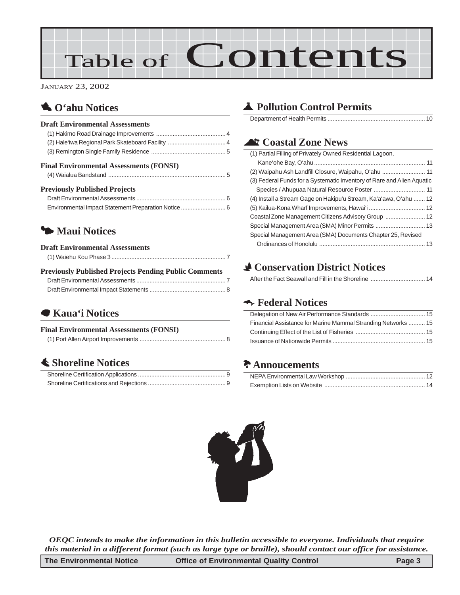# Table of Contents

JANUARY 23, 2002

## 1 **O'ahu Notices**

#### **Draft Environmental Assessments**

| <b>Previously Published Projects</b>              |  |
|---------------------------------------------------|--|
|                                                   |  |
| <b>Final Environmental Assessments (FONSI)</b>    |  |
|                                                   |  |
| (2) Hale'iwa Regional Park Skateboard Facility  4 |  |
|                                                   |  |

#### Draft Environmental Assessments [...................................................... 6](#page-5-0) [Environmental Impact Statement Preparation Notice........................... 6](#page-5-0)

# 3 **Maui Notices**

| <b>Draft Environmental Assessments</b>                       |
|--------------------------------------------------------------|
|                                                              |
| <b>Previously Published Projects Pending Public Comments</b> |

# 7 **Kaua'i Notices**

#### **Final Environmental Assessments (FONSI)**

|--|--|

### s **[Shoreline Notices](#page-8-0)**

# V **[Pollution Control Permits](#page-9-0)**

Department of Health Permits ........................................................... 10

## ^ **Coastal Zone News**

| (1) Partial Filling of Privately Owned Residential Lagoon,             |  |
|------------------------------------------------------------------------|--|
|                                                                        |  |
| (2) Waipahu Ash Landfill Closure, Waipahu, O'ahu  11                   |  |
| (3) Federal Funds for a Systematic Inventory of Rare and Alien Aquatic |  |
|                                                                        |  |
| (4) Install a Stream Gage on Hakipu'u Stream, Ka'a'awa, O'ahu  12      |  |
|                                                                        |  |
|                                                                        |  |
|                                                                        |  |
| Special Management Area (SMA) Documents Chapter 25, Revised            |  |
|                                                                        |  |

# r **Conservation District Notices**

# k **Federal Notices**

| Financial Assistance for Marine Mammal Stranding Networks  15 |
|---------------------------------------------------------------|
|                                                               |
|                                                               |

# d **Annoucements**



*OEQC intends to make the information in this bulletin accessible to everyone. Individuals that require this material in a different format (such as large type or braille), should contact our office for assistance.*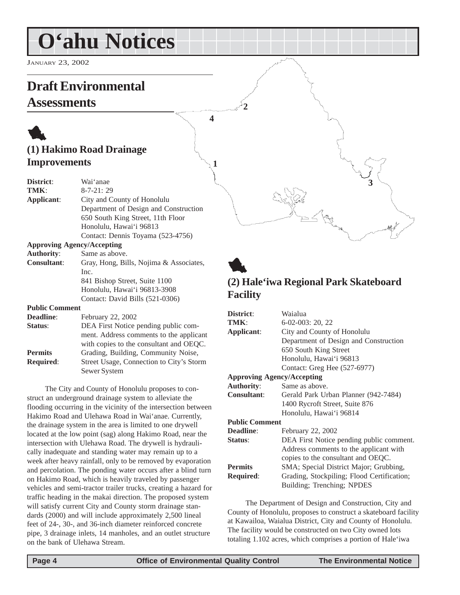# <span id="page-3-0"></span>**O'ahu Notices**

JANUARY 23, 2002

# **Draft Environmental**

# **Assessments**

# 1 **(1) Hakimo Road Drainage Improvements**

| District:             | Wai'anae                                |
|-----------------------|-----------------------------------------|
| TMK:                  | $8 - 7 - 21:29$                         |
| Applicant:            | City and County of Honolulu             |
|                       | Department of Design and Construction   |
|                       | 650 South King Street, 11th Floor       |
|                       | Honolulu, Hawai'i 96813                 |
|                       | Contact: Dennis Toyama (523-4756)       |
|                       | <b>Approving Agency/Accepting</b>       |
| <b>Authority:</b>     | Same as above.                          |
| <b>Consultant:</b>    | Gray, Hong, Bills, Nojima & Associates, |
|                       | Inc.                                    |
|                       | 841 Bishop Street, Suite 1100           |
|                       | Honolulu, Hawai'i 96813-3908            |
|                       | Contact: David Bills (521-0306)         |
| <b>Public Comment</b> |                                         |
| <b>Deadline:</b>      | February 22, 2002                       |
| Status:               | DEA First Notice pending public com-    |
|                       | ment. Address comments to the applicant |

with copies to the consultant and OEQC. Permits Grading, Building, Community Noise, **Required**: Street Usage, Connection to City's Storm Sewer System

The City and County of Honolulu proposes to construct an underground drainage system to alleviate the flooding occurring in the vicinity of the intersection between Hakimo Road and Ulehawa Road in Wai'anae. Currently, the drainage system in the area is limited to one drywell located at the low point (sag) along Hakimo Road, near the intersection with Ulehawa Road. The drywell is hydraulically inadequate and standing water may remain up to a week after heavy rainfall, only to be removed by evaporation and percolation. The ponding water occurs after a blind turn on Hakimo Road, which is heavily traveled by passenger vehicles and semi-tractor trailer trucks, creating a hazard for traffic heading in the makai direction. The proposed system will satisfy current City and County storm drainage standards (2000) and will include approximately 2,500 lineal feet of 24-, 30-, and 36-inch diameter reinforced concrete pipe, 3 drainage inlets, 14 manholes, and an outlet structure on the bank of Ulehawa Stream.

# 1 **(2) Hale'iwa Regional Park Skateboard Facility**

**3**

| District:                         | Waialua                                    |
|-----------------------------------|--------------------------------------------|
| TMK:                              | $6-02-003:20,22$                           |
| Applicant:                        | City and County of Honolulu                |
|                                   | Department of Design and Construction      |
|                                   | 650 South King Street                      |
|                                   | Honolulu, Hawai'i 96813                    |
|                                   | Contact: Greg Hee (527-6977)               |
| <b>Approving Agency/Accepting</b> |                                            |
| <b>Authority:</b>                 | Same as above.                             |
| <b>Consultant:</b>                | Gerald Park Urban Planner (942-7484)       |
|                                   | 1400 Rycroft Street, Suite 876             |
|                                   | Honolulu, Hawai'i 96814                    |
| <b>Public Comment</b>             |                                            |
| Deadline:                         | February 22, 2002                          |
| Status:                           | DEA First Notice pending public comment.   |
|                                   | Address comments to the applicant with     |
|                                   | copies to the consultant and OEQC.         |
| <b>Permits</b>                    | SMA; Special District Major; Grubbing,     |
| <b>Required:</b>                  | Grading, Stockpiling; Flood Certification; |
|                                   | Building; Trenching; NPDES                 |
|                                   |                                            |

The Department of Design and Construction, City and County of Honolulu, proposes to construct a skateboard facility at Kawailoa, Waialua District, City and County of Honolulu. The facility would be constructed on two City owned lots totaling 1.102 acres, which comprises a portion of Hale'iwa

**4**

**1**

**2**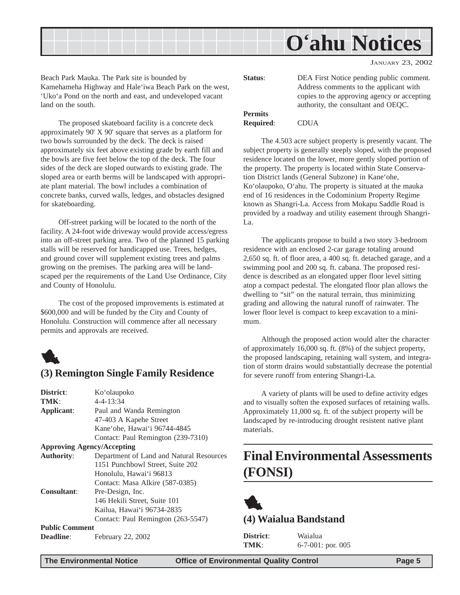<span id="page-4-0"></span>

JANUARY 23, 2002

Beach Park Mauka. The Park site is bounded by Kamehameha Highway and Hale'iwa Beach Park on the west, 'Uko'a Pond on the north and east, and undeveloped vacant land on the south.

The proposed skateboard facility is a concrete deck approximately 90' X 90' square that serves as a platform for two bowls surrounded by the deck. The deck is raised approximately six feet above existing grade by earth fill and the bowls are five feet below the top of the deck. The four sides of the deck are sloped outwards to existing grade. The sloped area or earth berms will be landscaped with appropriate plant material. The bowl includes a combination of concrete banks, curved walls, ledges, and obstacles designed for skateboarding.

Off-street parking will be located to the north of the facility. A 24-foot wide driveway would provide access/egress into an off-street parking area. Two of the planned 15 parking stalls will be reserved for handicapped use. Trees, hedges, and ground cover will supplement existing trees and palms growing on the premises. The parking area will be landscaped per the requirements of the Land Use Ordinance, City and County of Honolulu.

The cost of the proposed improvements is estimated at \$600,000 and will be funded by the City and County of Honolulu. Construction will commence after all necessary permits and approvals are received.



#### **(3) Remington Single Family Residence**

| District:                         | Ko'olaupoko                              |
|-----------------------------------|------------------------------------------|
| TMK:                              | $4 - 4 - 13:34$                          |
| Applicant:                        | Paul and Wanda Remington                 |
|                                   | 47-403 A Kapehe Street                   |
|                                   | Kane'ohe, Hawai'i 96744-4845             |
|                                   | Contact: Paul Remington (239-7310)       |
| <b>Approving Agency/Accepting</b> |                                          |
| <b>Authority:</b>                 | Department of Land and Natural Resources |
|                                   | 1151 Punchbowl Street, Suite 202         |
|                                   | Honolulu, Hawai'i 96813                  |
|                                   | Contact: Masa Alkire (587-0385)          |
| <b>Consultant:</b>                | Pre-Design, Inc.                         |
|                                   | 146 Hekili Street, Suite 101             |
|                                   | Kailua, Hawai'i 96734-2835               |
|                                   | Contact: Paul Remington (263-5547)       |
| <b>Public Comment</b>             |                                          |
| <b>Deadline:</b>                  | February 22, 2002                        |

| Status:          | DEA First Notice pending public comment.                                           |
|------------------|------------------------------------------------------------------------------------|
|                  | Address comments to the applicant with                                             |
|                  | copies to the approving agency or accepting<br>authority, the consultant and OEQC. |
| <b>Permits</b>   |                                                                                    |
| <b>Required:</b> | <b>CDUA</b>                                                                        |

The 4.503 acre subject property is presently vacant. The subject property is generally steeply sloped, with the proposed residence located on the lower, more gently sloped portion of the property. The property is located within State Conservation District lands (General Subzone) in Kane'ohe, Ko'olaupoko, O'ahu. The property is situated at the mauka end of 16 residences in the Codominium Property Regime known as Shangri-La. Access from Mokapu Saddle Road is provided by a roadway and utility easement through Shangri-La.

The applicants propose to build a two story 3-bedroom residence with an enclosed 2-car garage totaling around 2,650 sq. ft. of floor area, a 400 sq. ft. detached garage, and a swimming pool and 200 sq. ft. cabana. The proposed residence is described as an elongated upper floor level sitting atop a compact pedestal. The elongated floor plan allows the dwelling to "sit" on the natural terrain, thus minimizing grading and allowing the natural runoff of rainwater. The lower floor level is compact to keep excavation to a minimum.

Although the proposed action would alter the character of approximately 16,000 sq. ft. (8%) of the subject property, the proposed landscaping, retaining wall system, and integration of storm drains would substantially decrease the potential for severe runoff from entering Shangri-La.

A variety of plants will be used to define activity edges and to visually soften the exposed surfaces of retaining walls. Approximately 11,000 sq. ft. of the subject property will be landscaped by re-introducing drought resistent native plant materials.

# **Final Environmental Assessments (FONSI)**



**District**: Waialua

**TMK**: 6-7-001: por. 005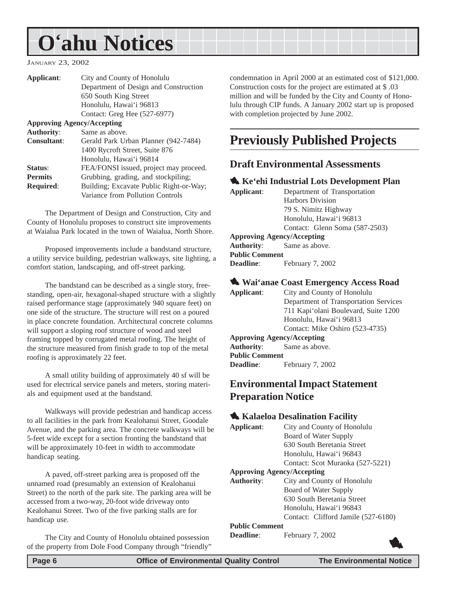# <span id="page-5-0"></span>**O'ahu Notices**

#### JANUARY 23, 2002

| Applicant:                        | City and County of Honolulu             |  |  |  |  |
|-----------------------------------|-----------------------------------------|--|--|--|--|
|                                   | Department of Design and Construction   |  |  |  |  |
|                                   | 650 South King Street                   |  |  |  |  |
|                                   | Honolulu, Hawai'i 96813                 |  |  |  |  |
|                                   | Contact: Greg Hee (527-6977)            |  |  |  |  |
| <b>Approving Agency/Accepting</b> |                                         |  |  |  |  |
| <b>Authority:</b>                 | Same as above.                          |  |  |  |  |
| <b>Consultant:</b>                | Gerald Park Urban Planner (942-7484)    |  |  |  |  |
|                                   | 1400 Rycroft Street, Suite 876          |  |  |  |  |
|                                   | Honolulu, Hawai'i 96814                 |  |  |  |  |
| Status:                           | FEA/FONSI issued, project may proceed.  |  |  |  |  |
| <b>Permits</b>                    | Grubbing, grading, and stockpiling;     |  |  |  |  |
| <b>Required:</b>                  | Building; Excavate Public Right-or-Way; |  |  |  |  |
|                                   | Variance from Pollution Controls        |  |  |  |  |

The Department of Design and Construction, City and County of Honolulu proposes to construct site improvements at Waialua Park located in the town of Waialua, North Shore.

Proposed improvements include a bandstand structure, a utility service building, pedestrian walkways, site lighting, a comfort station, landscaping, and off-street parking.

The bandstand can be described as a single story, freestanding, open-air, hexagonal-shaped structure with a slightly raised performance stage (approximately 940 square feet) on one side of the structure. The structure will rest on a poured in place concrete foundation. Architectural concrete columns will support a sloping roof structure of wood and steel framing topped by corrugated metal roofing. The height of the structure measured from finish grade to top of the metal roofing is approximately 22 feet.

A small utility building of approximately 40 sf will be used for electrical service panels and meters, storing materials and equipment used at the bandstand.

Walkways will provide pedestrian and handicap access to all facilities in the park from Kealohanui Street, Goodale Avenue, and the parking area. The concrete walkways will be 5-feet wide except for a section fronting the bandstand that will be approximately 10-feet in width to accommodate handicap seating.

A paved, off-street parking area is proposed off the unnamed road (presumably an extension of Kealohanui Street) to the north of the park site. The parking area will be accessed from a two-way, 20-foot wide driveway onto Kealohanui Street. Two of the five parking stalls are for handicap use.

The City and County of Honolulu obtained possession of the property from Dole Food Company through "friendly" condemnation in April 2000 at an estimated cost of \$121,000. Construction costs for the project are estimated at \$ .03 million and will be funded by the City and County of Honolulu through CIP funds. A January 2002 start up is proposed with completion projected by June 2002.

# **Previously Published Projects**

#### **Draft Environmental Assessments**

#### **1. Ke'ehi Industrial Lots Development Plan**

| Department of Transportation      |  |  |  |
|-----------------------------------|--|--|--|
| <b>Harbors Division</b>           |  |  |  |
| 79 S. Nimitz Highway              |  |  |  |
| Honolulu, Hawai'i 96813           |  |  |  |
| Contact: Glenn Soma (587-2503)    |  |  |  |
| <b>Approving Agency/Accepting</b> |  |  |  |
| <b>Authority:</b> Same as above.  |  |  |  |
| <b>Public Comment</b>             |  |  |  |
| February 7, 2002                  |  |  |  |
|                                   |  |  |  |

#### 1 **Wai'anae Coast Emergency Access Road**

| Applicant:                        | City and County of Honolulu           |  |  |  |
|-----------------------------------|---------------------------------------|--|--|--|
|                                   | Department of Transportation Services |  |  |  |
|                                   | 711 Kapi'olani Boulevard, Suite 1200  |  |  |  |
|                                   | Honolulu, Hawai'i 96813               |  |  |  |
|                                   | Contact: Mike Oshiro (523-4735)       |  |  |  |
| <b>Approving Agency/Accepting</b> |                                       |  |  |  |
|                                   | <b>Authority:</b> Same as above.      |  |  |  |
| <b>Public Comment</b>             |                                       |  |  |  |
| <b>Deadline:</b>                  | February 7, 2002                      |  |  |  |
|                                   |                                       |  |  |  |

#### **Environmental Impact Statement Preparation Notice**

#### **1. Kalaeloa Desalination Facility**

| Applicant:            | City and County of Honolulu         |
|-----------------------|-------------------------------------|
|                       | Board of Water Supply               |
|                       | 630 South Beretania Street          |
|                       | Honolulu, Hawai'i 96843             |
|                       | Contact: Scot Muraoka (527-5221)    |
|                       | <b>Approving Agency/Accepting</b>   |
| <b>Authority:</b>     | City and County of Honolulu         |
|                       | Board of Water Supply               |
|                       | 630 South Beretania Street          |
|                       | Honolulu, Hawai'i 96843             |
|                       | Contact: Clifford Jamile (527-6180) |
| <b>Public Comment</b> |                                     |

**Deadline**: February 7, 2002

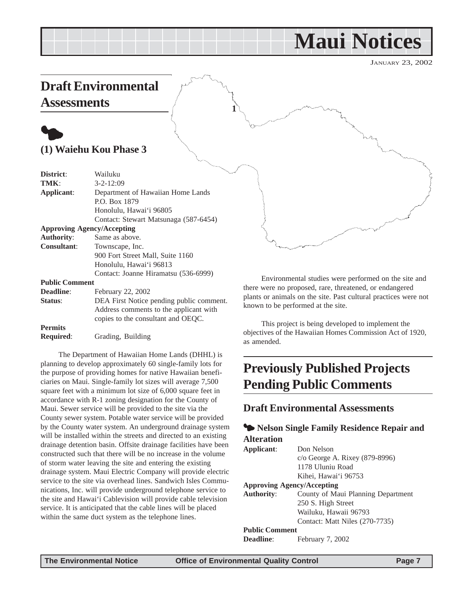# **Maui Notices**

JANUARY 23, 2002

# <span id="page-6-0"></span>**Draft Environmental Assessments**

# $\bullet$ **(1) Waiehu Kou Phase 3**

| District:             | Wailuku                                  |
|-----------------------|------------------------------------------|
| TMK:                  | $3 - 2 - 12:09$                          |
| Applicant:            | Department of Hawaiian Home Lands        |
|                       | P.O. Box 1879                            |
|                       | Honolulu, Hawai'i 96805                  |
|                       | Contact: Stewart Matsunaga (587-6454)    |
|                       | <b>Approving Agency/Accepting</b>        |
| <b>Authority:</b>     | Same as above.                           |
| <b>Consultant:</b>    | Townscape, Inc.                          |
|                       | 900 Fort Street Mall, Suite 1160         |
|                       | Honolulu, Hawai'i 96813                  |
|                       | Contact: Joanne Hiramatsu (536-6999)     |
| <b>Public Comment</b> |                                          |
| Deadline:             | February 22, 2002                        |
| Status:               | DEA First Notice pending public comment. |
|                       | Address comments to the applicant with   |
|                       | copies to the consultant and OEOC.       |

**Permits**

**Required**: Grading, Building

The Department of Hawaiian Home Lands (DHHL) is planning to develop approximately 60 single-family lots for the purpose of providing homes for native Hawaiian beneficiaries on Maui. Single-family lot sizes will average 7,500 square feet with a minimum lot size of 6,000 square feet in accordance with R-1 zoning designation for the County of Maui. Sewer service will be provided to the site via the County sewer system. Potable water service will be provided by the County water system. An underground drainage system will be installed within the streets and directed to an existing drainage detention basin. Offsite drainage facilities have been constructed such that there will be no increase in the volume of storm water leaving the site and entering the existing drainage system. Maui Electric Company will provide electric service to the site via overhead lines. Sandwich Isles Communications, Inc. will provide underground telephone service to the site and Hawai'i Cablevision will provide cable television service. It is anticipated that the cable lines will be placed within the same duct system as the telephone lines.

Environmental studies were performed on the site and there were no proposed, rare, threatened, or endangered plants or animals on the site. Past cultural practices were not known to be performed at the site.

This project is being developed to implement the objectives of the Hawaiian Homes Commission Act of 1920, as amended.

# **Previously Published Projects Pending Public Comments**

#### **Draft Environmental Assessments**

#### $\blacklozenge$  **Nelson Single Family Residence Repair and Alteration**

| Don Nelson                         |  |  |  |  |
|------------------------------------|--|--|--|--|
| c/o George A. Rixey (879-8996)     |  |  |  |  |
| 1178 Uluniu Road                   |  |  |  |  |
| Kihei, Hawai'i 96753               |  |  |  |  |
| <b>Approving Agency/Accepting</b>  |  |  |  |  |
| County of Maui Planning Department |  |  |  |  |
| 250 S. High Street                 |  |  |  |  |
| Wailuku, Hawaii 96793              |  |  |  |  |
| Contact: Matt Niles (270-7735)     |  |  |  |  |
| <b>Public Comment</b>              |  |  |  |  |
| February 7, 2002                   |  |  |  |  |
|                                    |  |  |  |  |

**1**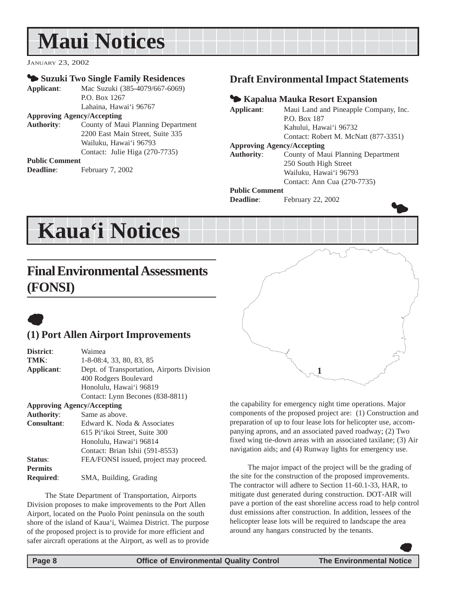# <span id="page-7-0"></span>**Maui Notices**

JANUARY 23, 2002

#### 3 **Suzuki Two Single Family Residences**

**Applicant**: Mac Suzuki (385-4079/667-6069) P.O. Box 1267 Lahaina, Hawai'i 96767

#### **Approving Agency/Accepting**

**Authority**: County of Maui Planning Department 2200 East Main Street, Suite 335 Wailuku, Hawai'i 96793 Contact: Julie Higa (270-7735)

#### **Public Comment**

**Deadline**: February 7, 2002

### **Draft Environmental Impact Statements**

#### 3 **Kapalua Mauka Resort Expansion**

**Applicant**: Maui Land and Pineapple Company, Inc. P.O. Box 187 Kahului, Hawai'i 96732 Contact: Robert M. McNatt (877-3351) **Approving Agency/Accepting Authority**: County of Maui Planning Department 250 South High Street Wailuku, Hawai'i 96793

#### Contact: Ann Cua (270-7735) **Public Comment**

**Deadline**: February 22, 2002

# **Kaua'i Notices**

# **Final Environmental Assessments (FONSI)**

# $\bullet$

# **(1) Port Allen Airport Improvements**

| District:          | Waimea                                     |  |  |  |  |
|--------------------|--------------------------------------------|--|--|--|--|
| TMK:               | $1-8-08:4$ , 33, 80, 83, 85                |  |  |  |  |
| Applicant:         | Dept. of Transportation, Airports Division |  |  |  |  |
|                    | 400 Rodgers Boulevard                      |  |  |  |  |
|                    | Honolulu, Hawai'i 96819                    |  |  |  |  |
|                    | Contact: Lynn Becones (838-8811)           |  |  |  |  |
|                    | <b>Approving Agency/Accepting</b>          |  |  |  |  |
| <b>Authority:</b>  | Same as above.                             |  |  |  |  |
| <b>Consultant:</b> | Edward K. Noda & Associates                |  |  |  |  |
|                    | 615 Pi'ikoi Street, Suite 300              |  |  |  |  |
|                    | Honolulu, Hawai'i 96814                    |  |  |  |  |
|                    | Contact: Brian Ishii (591-8553)            |  |  |  |  |
| Status:            | FEA/FONSI issued, project may proceed.     |  |  |  |  |
| <b>Permits</b>     |                                            |  |  |  |  |
| <b>Required:</b>   | SMA, Building, Grading                     |  |  |  |  |
|                    |                                            |  |  |  |  |

The State Department of Transportation, Airports Division proposes to make improvements to the Port Allen Airport, located on the Puolo Point peninsula on the south shore of the island of Kaua'i, Waimea District. The purpose of the proposed project is to provide for more efficient and safer aircraft operations at the Airport, as well as to provide



the capability for emergency night time operations. Major components of the proposed project are: (1) Construction and preparation of up to four lease lots for helicopter use, accompanying aprons, and an associated paved roadway; (2) Two fixed wing tie-down areas with an associated taxilane; (3) Air navigation aids; and (4) Runway lights for emergency use.

The major impact of the project will be the grading of the site for the construction of the proposed improvements. The contractor will adhere to Section 11-60.1-33, HAR, to mitigate dust generated during construction. DOT-AIR will pave a portion of the east shoreline access road to help control dust emissions after construction. In addition, lessees of the helicopter lease lots will be required to landscape the area around any hangars constructed by the tenants.

 $\bullet$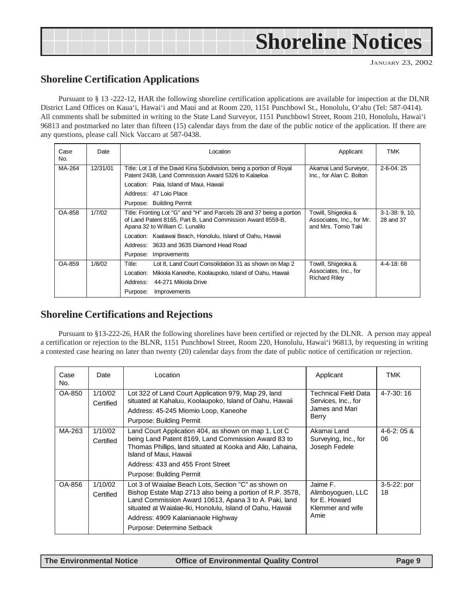# <span id="page-8-0"></span>**Shoreline Notices**

### **Shoreline Certification Applications**

Pursuant to § 13 -222-12, HAR the following shoreline certification applications are available for inspection at the DLNR District Land Offices on Kaua'i, Hawai'i and Maui and at Room 220, 1151 Punchbowl St., Honolulu, O'ahu (Tel: 587-0414). All comments shall be submitted in writing to the State Land Surveyor, 1151 Punchbowl Street, Room 210, Honolulu, Hawai'i 96813 and postmarked no later than fifteen (15) calendar days from the date of the public notice of the application. If there are any questions, please call Nick Vaccaro at 587-0438.

| Case<br>No.      | Date     | Location                                                                                                                                                               | Applicant                                                              | TMK                         |  |
|------------------|----------|------------------------------------------------------------------------------------------------------------------------------------------------------------------------|------------------------------------------------------------------------|-----------------------------|--|
| MA-264           | 12/31/01 | Title: Lot 1 of the David Kina Subdivision, being a portion of Royal<br>Patent 2438, Land Commission Award 5326 to Kalaeloa                                            | Akamai Land Surveyor,<br>Inc., for Alan C. Bolton                      | $2 - 6 - 04:25$             |  |
|                  |          | Location: Paia, Island of Maui, Hawaii                                                                                                                                 |                                                                        |                             |  |
|                  |          | Address: 47 Loio Place                                                                                                                                                 |                                                                        |                             |  |
|                  |          | Purpose: Building Permit                                                                                                                                               |                                                                        |                             |  |
| OA-858<br>1/7/02 |          | Title: Fronting Lot "G" and "H" and Parcels 28 and 37 being a portion<br>of Land Patent 8165, Part B, Land Commission Award 8559-B,<br>Apana 32 to William C. Lunalilo | Towill, Shigeoka &<br>Associates, Inc., for Mr.<br>and Mrs. Tomio Taki | $3-1-38:9,10,$<br>28 and 37 |  |
|                  |          | Location: Kaalawai Beach, Honolulu, Island of Oahu, Hawaii                                                                                                             |                                                                        |                             |  |
|                  |          | Address: 3633 and 3635 Diamond Head Road                                                                                                                               |                                                                        |                             |  |
|                  |          | Purpose:<br>Improvements                                                                                                                                               |                                                                        |                             |  |
| OA-859           | 1/8/02   | Title:<br>Lot 8, Land Court Consolidation 31 as shown on Map 2                                                                                                         | Towill, Shigeoka &                                                     | 4-4-18:68                   |  |
|                  |          | Mikiola Kaneohe, Koolaupoko, Island of Oahu, Hawaii<br>Location:                                                                                                       | Associates, Inc., for                                                  |                             |  |
|                  |          | Address:<br>44-271 Mikiola Drive                                                                                                                                       | <b>Richard Riley</b>                                                   |                             |  |
|                  |          | Purpose:<br>Improvements                                                                                                                                               |                                                                        |                             |  |

#### **Shoreline Certifications and Rejections**

Pursuant to §13-222-26, HAR the following shorelines have been certified or rejected by the DLNR. A person may appeal a certification or rejection to the BLNR, 1151 Punchbowl Street, Room 220, Honolulu, Hawai'i 96813, by requesting in writing a contested case hearing no later than twenty (20) calendar days from the date of public notice of certification or rejection.

| Case<br>No. | Date                 | Location                                                                                                                                                                                                                                                                                                    | Applicant                                                                  | TMK                    |
|-------------|----------------------|-------------------------------------------------------------------------------------------------------------------------------------------------------------------------------------------------------------------------------------------------------------------------------------------------------------|----------------------------------------------------------------------------|------------------------|
| OA-850      | 1/10/02<br>Certified | Lot 322 of Land Court Application 979, Map 29, land<br>situated at Kahaluu, Koolaupoko, Island of Oahu, Hawaii<br>Address: 45-245 Miomio Loop, Kaneohe<br>Purpose: Building Permit                                                                                                                          | Technical Field Data<br>Services, Inc., for<br>James and Mari<br>Berry     | $4 - 7 - 30$ : 16      |
| MA-263      | 1/10/02<br>Certified | Land Court Application 404, as shown on map 1, Lot C<br>being Land Patent 8169, Land Commission Award 83 to<br>Thomas Phillips, land situated at Kooka and Alio, Lahaina,<br>Island of Maui, Hawaii<br>Address: 433 and 455 Front Street<br>Purpose: Building Permit                                        | Akamai Land<br>Surveying, Inc., for<br>Joseph Fedele                       | $4 - 6 - 2:05$ &<br>06 |
| OA-856      | 1/10/02<br>Certified | Lot 3 of Waialae Beach Lots, Section "C" as shown on<br>Bishop Estate Map 2713 also being a portion of R.P. 3578,<br>Land Commission Award 10613, Apana 3 to A. Paki, land<br>situated at Waialae-Iki, Honolulu, Island of Oahu, Hawaii<br>Address: 4909 Kalanianaole Highway<br>Purpose: Determine Setback | Jaime F.<br>Alimboyoguen, LLC<br>for E. Howard<br>Klemmer and wife<br>Amie | $3-5-22$ : por<br>18   |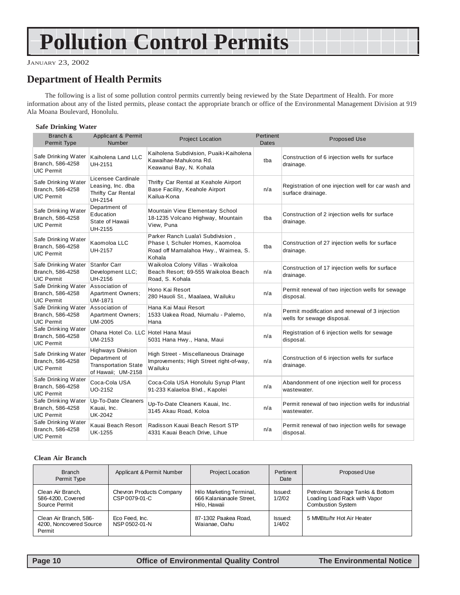# <span id="page-9-0"></span>**Pollution Control Permits**

JANUARY 23, 2002

# **Department of Health Permits**

The following is a list of some pollution control permits currently being reviewed by the State Department of Health. For more information about any of the listed permits, please contact the appropriate branch or office of the Environmental Management Division at 919 Ala Moana Boulevard, Honolulu.

#### **Safe Drinking Water**

| Branch &<br>Permit Type                                                     | Applicant & Permit<br><b>Number</b>                                                            | <b>Project Location</b>                                                                                                | Pertinent<br><b>Dates</b> | <b>Proposed Use</b>                                                          |
|-----------------------------------------------------------------------------|------------------------------------------------------------------------------------------------|------------------------------------------------------------------------------------------------------------------------|---------------------------|------------------------------------------------------------------------------|
| Safe Drinking Water<br>Branch, 586-4258<br><b>UIC Permit</b>                | Kaiholena Land LLC<br>UH-2151                                                                  | Kaiholena Subdivision, Puaiki-Kaiholena<br>Kawaihae-Mahukona Rd.<br>Keawanui Bay, N. Kohala                            | tba                       | Construction of 6 injection wells for surface<br>drainage.                   |
| Safe Drinking Water<br>Branch, 586-4258<br><b>UIC Permit</b>                | Licensee Cardinale<br>Leasing, Inc. dba<br>Thrifty Car Rental<br><b>UH-2154</b>                | Thrifty Car Rental at Keahole Airport<br>Base Facility, Keahole Airport<br>Kailua-Kona                                 | n/a                       | Registration of one injection well for car wash and<br>surface drainage.     |
| Safe Drinking Water<br>Branch, 586-4258<br><b>UIC Permit</b>                | Department of<br>Education<br>State of Hawaii<br>UH-2155                                       | Mountain View Elementary School<br>18-1235 Volcano Highway, Mountain<br>View, Puna                                     | tba                       | Construction of 2 injection wells for surface<br>drainage.                   |
| Safe Drinking Water<br>Branch, 586-4258<br><b>UIC Permit</b>                | Kaomoloa LLC<br>UH-2157                                                                        | Parker Ranch Luala'i Subdivision,<br>Phase I, Schuler Homes, Kaomoloa<br>Road off Mamalahoa Hwy., Waimea, S.<br>Kohala | tba                       | Construction of 27 injection wells for surface<br>drainage.                  |
| Safe Drinking Water<br>Branch, 586-4258<br><b>UIC Permit</b>                | Stanfor Carr<br>Development LLC;<br>UH-2156                                                    | Waikoloa Colony Villas - Waikoloa<br>Beach Resort; 69-555 Waikoloa Beach<br>Road, S. Kohala                            | n/a                       | Construction of 17 injection wells for surface<br>drainage.                  |
| Safe Drinking Water<br>Branch, 586-4258<br><b>UIC Permit</b>                | Association of<br>Apartment Owners;<br><b>UM-1871</b>                                          | Hono Kai Resort<br>280 Hauoli St., Maalaea, Wailuku                                                                    | n/a                       | Permit renewal of two injection wells for sewage<br>disposal.                |
| Safe Drinking Water Association of<br>Branch, 586-4258<br><b>UIC Permit</b> | <b>Apartment Owners;</b><br>UM-2005                                                            | Hana Kai Maui Resort<br>1533 Uakea Road, Niumalu - Palemo,<br>Hana                                                     | n/a                       | Permit modification and renewal of 3 injection<br>wells for sewage disposal. |
| Safe Drinking Water<br>Branch, 586-4258<br><b>UIC Permit</b>                | Ohana Hotel Co. LLC Hotel Hana Maui<br>UM-2153                                                 | 5031 Hana Hwy., Hana, Maui                                                                                             | n/a                       | Registration of 6 injection wells for sewage<br>disposal.                    |
| Safe Drinking Water<br>Branch, 586-4258<br><b>UIC Permit</b>                | <b>Highways Division</b><br>Department of<br><b>Transportation State</b><br>of Hawaii; UM-2158 | High Street - Miscellaneous Drainage<br>Improvements; High Street right-of-way,<br>Wailuku                             | n/a                       | Construction of 6 injection wells for surface<br>drainage.                   |
| Safe Drinking Water<br>Branch, 586-4258<br><b>UIC Permit</b>                | Coca-Cola USA<br><b>UO-2152</b>                                                                | Coca-Cola USA Honolulu Syrup Plant<br>91-233 Kalaeloa Blvd., Kapolei                                                   | n/a                       | Abandonment of one injection well for process<br>wastewater.                 |
| Safe Drinking Water<br>Branch, 586-4258<br><b>UIC Permit</b>                | Up-To-Date Cleaners<br>Kauai, Inc.<br><b>UK-2042</b>                                           | Up-To-Date Cleaners Kauai, Inc.<br>3145 Akau Road, Koloa                                                               | n/a                       | Permit renewal of two injection wells for industrial<br>wastewater.          |
| Safe Drinking Water<br>Branch, 586-4258<br><b>UIC Permit</b>                | Kauai Beach Resort<br><b>UK-1255</b>                                                           | Radisson Kauai Beach Resort STP<br>4331 Kauai Beach Drive, Lihue                                                       | n/a                       | Permit renewal of two injection wells for sewage<br>disposal.                |

#### **Clean Air Branch**

| <b>Branch</b><br>Permit Type                                | Applicant & Permit Number                 | <b>Project Location</b>                                              | Pertinent<br>Date | Proposed Use                                                                                 |
|-------------------------------------------------------------|-------------------------------------------|----------------------------------------------------------------------|-------------------|----------------------------------------------------------------------------------------------|
| Clean Air Branch,<br>586-4200, Covered<br>Source Permit     | Chevron Products Company<br>CSP 0079-01-C | Hilo Marketing Terminal,<br>666 Kalanianaole Street.<br>Hilo, Hawaii | Issued:<br>1/2/02 | Petroleum Storage Tanks & Bottom<br>Loading Load Rack with Vapor<br><b>Combustion System</b> |
| Clean Air Branch, 586-<br>4200. Noncovered Source<br>Permit | Eco Feed, Inc.<br>NSP 0502-01-N           | 87-1302 Paakea Road.<br>Waianae, Oahu                                | Issued:<br>1/4/02 | 5 MMBtu/hr Hot Air Heater                                                                    |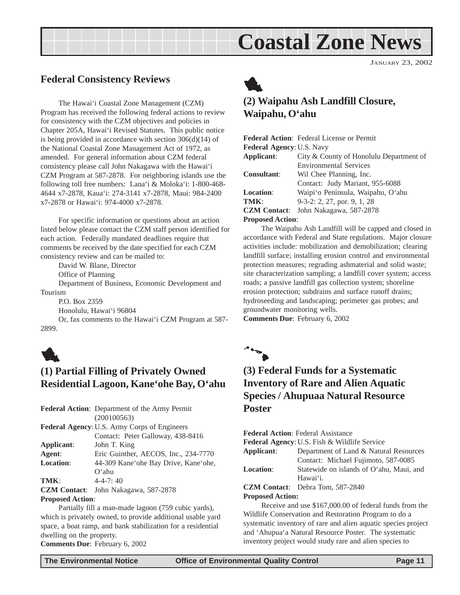# **Coastal Zone News**

JANUARY 23, 2002

### <span id="page-10-0"></span>**Federal Consistency Reviews**

The Hawai'i Coastal Zone Management (CZM) Program has received the following federal actions to review for consistency with the CZM objectives and policies in Chapter 205A, Hawai'i Revised Statutes. This public notice is being provided in accordance with section 306(d)(14) of the National Coastal Zone Management Act of 1972, as amended. For general information about CZM federal consistency please call John Nakagawa with the Hawai'i CZM Program at 587-2878. For neighboring islands use the following toll free numbers: Lana'i & Moloka'i: 1-800-468- 4644 x7-2878, Kaua'i: 274-3141 x7-2878, Maui: 984-2400 x7-2878 or Hawai'i: 974-4000 x7-2878.

For specific information or questions about an action listed below please contact the CZM staff person identified for each action. Federally mandated deadlines require that comments be received by the date specified for each CZM consistency review and can be mailed to:

David W. Blane, Director

Office of Planning

Department of Business, Economic Development and Tourism

P.O. Box 2359

Honolulu, Hawai'i 96804

Or, fax comments to the Hawai'i CZM Program at 587- 2899.



# **(1) Partial Filling of Privately Owned Residential Lagoon, Kane'ohe Bay, O'ahu**

| Eric Guinther, AECOS, Inc., 234-7770 |
|--------------------------------------|
| 44-309 Kane'ohe Bay Drive, Kane'ohe, |
|                                      |
|                                      |
|                                      |
|                                      |

#### **Proposed Action**:

Partially fill a man-made lagoon (759 cubic yards), which is privately owned, to provide additional usable yard space, a boat ramp, and bank stabilization for a residential dwelling on the property. **Comments Due**: February 6, 2002



# **(2) Waipahu Ash Landfill Closure, Waipahu, O'ahu**

|                                  | <b>Federal Action:</b> Federal License or Permit |  |
|----------------------------------|--------------------------------------------------|--|
| <b>Federal Agency: U.S. Navy</b> |                                                  |  |
| Applicant:                       | City & County of Honolulu Department of          |  |
|                                  | <b>Environmental Services</b>                    |  |
| <b>Consultant:</b>               | Wil Chee Planning, Inc.                          |  |
|                                  | Contact: Judy Mariant, 955-6088                  |  |
| <b>Location:</b>                 | Waipi'o Peninsula, Waipahu, O'ahu                |  |
| TMK:                             | $9-3-2$ : 2, 27, por. 9, 1, 28                   |  |
| <b>CZM</b> Contact:              | John Nakagawa, 587-2878                          |  |
| <b>Proposed Action:</b>          |                                                  |  |

The Waipahu Ash Landfill will be capped and closed in accordance with Federal and State regulations. Major closure activities include: mobilization and demobilization; clearing landfill surface; installing erosion control and environmental protection measures; regrading ashmaterial and solid waste; site characterization sampling; a landfill cover system; access roads; a passive landfill gas collection system; shoreline erosion protection; subdrains and surface runoff drains; hydroseeding and landscaping; perimeter gas probes; and groundwater monitoring wells.

**Comments Due**: February 6, 2002



# **(3) Federal Funds for a Systematic Inventory of Rare and Alien Aquatic Species / Ahupuaa Natural Resource Poster**

**Federal Action**: Federal Assistance **Federal Agency**: U.S. Fish & Wildlife Service **Applicant**: Department of Land & Natural Resources Contact: Michael Fujimoto, 587-0085 **Location**: Statewide on islands of O'ahu, Maui, and Hawai'i. **CZM Contact**: Debra Tom, 587-2840 **Proposed Action:**

Receive and use \$167,000.00 of federal funds from the Wildlife Conservation and Restoration Program to do a systematic inventory of rare and alien aquatic species project and 'Ahupua'a Natural Resource Poster. The systematic inventory project would study rare and alien species to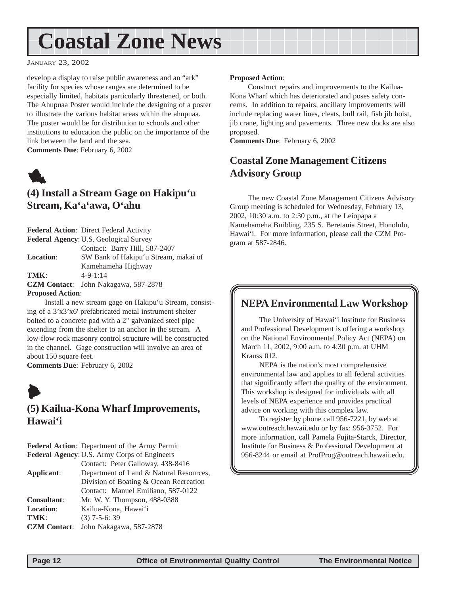# <span id="page-11-0"></span>**Coastal Zone News**

JANUARY 23, 2002

develop a display to raise public awareness and an "ark" facility for species whose ranges are determined to be especially limited, habitats particularly threatened, or both. The Ahupuaa Poster would include the designing of a poster to illustrate the various habitat areas within the ahupuaa. The poster would be for distribution to schools and other institutions to education the public on the importance of the link between the land and the sea. **Comments Due**: February 6, 2002



# **(4) Install a Stream Gage on Hakipu'u Stream, Ka'a'awa, O'ahu**

**Federal Action**: Direct Federal Activity **Federal Agency**: U.S. Geological Survey Contact: Barry Hill, 587-2407 **Location**: SW Bank of Hakipu'u Stream, makai of Kamehameha Highway **TMK**: 4-9-1:14 **CZM Contact**: John Nakagawa, 587-2878 **Proposed Action**:

Install a new stream gage on Hakipu'u Stream, consisting of a 3'x3'x6' prefabricated metal instrument shelter bolted to a concrete pad with a 2" galvanized steel pipe extending from the shelter to an anchor in the stream. A low-flow rock masonry control structure will be constructed in the channel. Gage construction will involve an area of about 150 square feet.

**Comments Due**: February 6, 2002



# **(5) Kailua-Kona Wharf Improvements, Hawai'i**

**Federal Action**: Department of the Army Permit **Federal Agency**: U.S. Army Corps of Engineers

Contact: Peter Galloway, 438-8416 **Applicant**: Department of Land & Natural Resources, Division of Boating & Ocean Recreation Contact: Manuel Emiliano, 587-0122 **Consultant**: Mr. W. Y. Thompson, 488-0388 Location: Kailua-Kona, Hawai'i **TMK**: (3) 7-5-6: 39 **CZM Contact**: John Nakagawa, 587-2878

#### **Proposed Action**:

Construct repairs and improvements to the Kailua-Kona Wharf which has deteriorated and poses safety concerns. In addition to repairs, ancillary improvements will include replacing water lines, cleats, bull rail, fish jib hoist, jib crane, lighting and pavements. Three new docks are also proposed.

**Comments Due**: February 6, 2002

# **Coastal Zone Management Citizens Advisory Group**

The new Coastal Zone Management Citizens Advisory Group meeting is scheduled for Wednesday, February 13, 2002, 10:30 a.m. to 2:30 p.m., at the Leiopapa a Kamehameha Building, 235 S. Beretania Street, Honolulu, Hawai'i. For more information, please call the CZM Program at 587-2846.

# **NEPA Environmental Law Workshop**

The University of Hawai'i Institute for Business and Professional Development is offering a workshop on the National Environmental Policy Act (NEPA) on March 11, 2002, 9:00 a.m. to 4:30 p.m. at UHM Krauss 012.

NEPA is the nation's most comprehensive environmental law and applies to all federal activities that significantly affect the quality of the environment. This workshop is designed for individuals with all levels of NEPA experience and provides practical advice on working with this complex law.

To register by phone call 956-7221, by web at www.outreach.hawaii.edu or by fax: 956-3752. For more information, call Pamela Fujita-Starck, Director, Institute for Business & Professional Development at 956-8244 or email at ProfProg@outreach.hawaii.edu.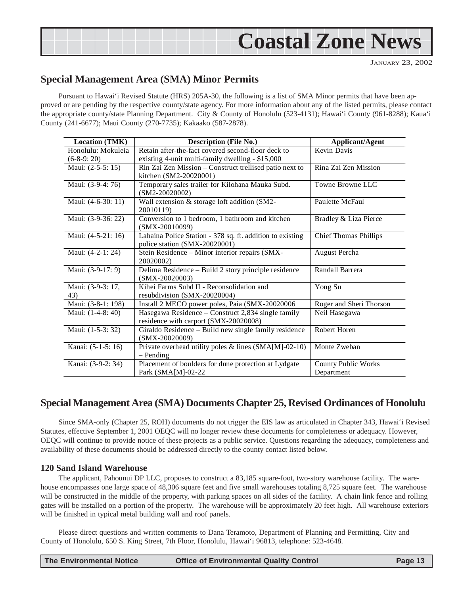<span id="page-12-0"></span>

JANUARY 23, 2002

### **Special Management Area (SMA) Minor Permits**

Pursuant to Hawai'i Revised Statute (HRS) 205A-30, the following is a list of SMA Minor permits that have been approved or are pending by the respective county/state agency. For more information about any of the listed permits, please contact the appropriate county/state Planning Department. City & County of Honolulu (523-4131); Hawai'i County (961-8288); Kaua'i County (241-6677); Maui County (270-7735); Kakaako (587-2878).

| <b>Location (TMK)</b>              | <b>Description (File No.)</b>                                                                          | <b>Applicant/Agent</b>       |
|------------------------------------|--------------------------------------------------------------------------------------------------------|------------------------------|
| Honolulu: Mokuleia<br>$(6-8-9:20)$ | Retain after-the-fact covered second-floor deck to<br>existing 4-unit multi-family dwelling - \$15,000 | Kevin Davis                  |
| Maui: (2-5-5: 15)                  | Rin Zai Zen Mission - Construct trellised patio next to<br>kitchen (SM2-20020001)                      | Rina Zai Zen Mission         |
| Maui: (3-9-4: 76)                  | Temporary sales trailer for Kilohana Mauka Subd.<br>$(SM2-20020002)$                                   | Towne Browne LLC             |
| Maui: (4-6-30: 11)                 | Wall extension & storage loft addition (SM2-<br>20010119)                                              | Paulette McFaul              |
| Maui: (3-9-36: 22)                 | Conversion to 1 bedroom, 1 bathroom and kitchen<br>$(SMX-20010099)$                                    | Bradley & Liza Pierce        |
| Maui: (4-5-21: 16)                 | Lahaina Police Station - 378 sq. ft. addition to existing<br>police station (SMX-20020001)             | <b>Chief Thomas Phillips</b> |
| Maui: (4-2-1: 24)                  | Stein Residence - Minor interior repairs (SMX-<br>20020002)                                            | August Percha                |
| Maui: (3-9-17: 9)                  | Delima Residence - Build 2 story principle residence<br>$(SMX-20020003)$                               | Randall Barrera              |
| Maui: (3-9-3: 17,<br>43)           | Kihei Farms Subd II - Reconsolidation and<br>resubdivision (SMX-20020004)                              | Yong Su                      |
| Maui: (3-8-1: 198)                 | Install 2 MECO power poles, Paia (SMX-20020006                                                         | Roger and Sheri Thorson      |
| Maui: (1-4-8: 40)                  | Hasegawa Residence – Construct 2,834 single family<br>residence with carport (SMX-20020008)            | Neil Hasegawa                |
| Maui: (1-5-3: 32)                  | Giraldo Residence - Build new single family residence<br>$(SMX-20020009)$                              | Robert Horen                 |
| Kauai: (5-1-5: 16)                 | Private overhead utility poles & lines (SMA[M]-02-10)<br>$-$ Pending                                   | Monte Zweban                 |
| Kauai: (3-9-2: 34)                 | Placement of boulders for dune protection at Lydgate                                                   | <b>County Public Works</b>   |
|                                    | Park (SMA[M]-02-22                                                                                     | Department                   |

### **Special Management Area (SMA) Documents Chapter 25, Revised Ordinances of Honolulu**

Since SMA-only (Chapter 25, ROH) documents do not trigger the EIS law as articulated in Chapter 343, Hawai'i Revised Statutes, effective September 1, 2001 OEQC will no longer review these documents for completeness or adequacy. However, OEQC will continue to provide notice of these projects as a public service. Questions regarding the adequacy, completeness and availability of these documents should be addressed directly to the county contact listed below.

#### **120 Sand Island Warehouse**

The applicant, Pahounui DP LLC, proposes to construct a 83,185 square-foot, two-story warehouse facility. The warehouse encompasses one large space of 48,306 square feet and five small warehouses totaling 8,725 square feet. The warehouse will be constructed in the middle of the property, with parking spaces on all sides of the facility. A chain link fence and rolling gates will be installed on a portion of the property. The warehouse will be approximately 20 feet high. All warehouse exteriors will be finished in typical metal building wall and roof panels.

Please direct questions and written comments to Dana Teramoto, Department of Planning and Permitting, City and County of Honolulu, 650 S. King Street, 7th Floor, Honolulu, Hawai'i 96813, telephone: 523-4648.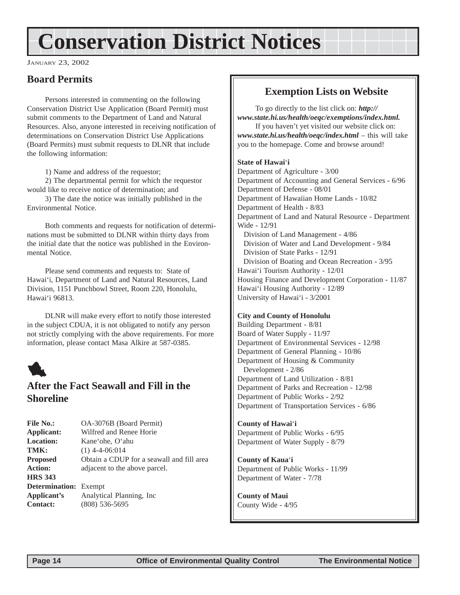# <span id="page-13-0"></span>**Conservation District Notices**

JANUARY 23, 2002

# **Board Permits**

Persons interested in commenting on the following Conservation District Use Application (Board Permit) must submit comments to the Department of Land and Natural Resources. Also, anyone interested in receiving notification of determinations on Conservation District Use Applications (Board Permits) must submit requests to DLNR that include the following information:

1) Name and address of the requestor;

2) The departmental permit for which the requestor would like to receive notice of determination; and

3) The date the notice was initially published in the Environmental Notice.

Both comments and requests for notification of determinations must be submitted to DLNR within thirty days from the initial date that the notice was published in the Environmental Notice.

Please send comments and requests to: State of Hawai'i, Department of Land and Natural Resources, Land Division, 1151 Punchbowl Street, Room 220, Honolulu, Hawai'i 96813.

DLNR will make every effort to notify those interested in the subject CDUA, it is not obligated to notify any person not strictly complying with the above requirements. For more information, please contact Masa Alkire at 587-0385.



# **After the Fact Seawall and Fill in the Shoreline**

| <b>File No.:</b>             | OA-3076B (Board Permit)                   |
|------------------------------|-------------------------------------------|
| Applicant:                   | Wilfred and Renee Horie                   |
| <b>Location:</b>             | Kane'ohe, O'ahu                           |
| TMK:                         | $(1)$ 4-4-06:014                          |
| <b>Proposed</b>              | Obtain a CDUP for a seawall and fill area |
| <b>Action:</b>               | adjacent to the above parcel.             |
| <b>HRS 343</b>               |                                           |
| <b>Determination:</b> Exempt |                                           |
| Applicant's                  | Analytical Planning, Inc.                 |
| <b>Contact:</b>              | $(808)$ 536-5695                          |

# **Exemption Lists on Website**

To go directly to the list click on: *http:// www.state.hi.us/health/oeqc/exemptions/index.html.* If you haven't yet visited our website click on: *www.state.hi.us/health/oeqc/index.html* – this will take

you to the homepage. Come and browse around!

#### **State of Hawai**'**i**

Department of Agriculture - 3/00 Department of Accounting and General Services - 6/96 Department of Defense - 08/01 Department of Hawaiian Home Lands - 10/82 Department of Health - 8/83 Department of Land and Natural Resource - Department Wide - 12/91 Division of Land Management - 4/86 Division of Water and Land Development - 9/84 Division of State Parks - 12/91 Division of Boating and Ocean Recreation - 3/95 Hawai'i Tourism Authority - 12/01 Housing Finance and Development Corporation - 11/87 Hawai'i Housing Authority - 12/89 University of Hawai'i - 3/2001

#### **City and County of Honolulu**

Building Department - 8/81 Board of Water Supply - 11/97 Department of Environmental Services - 12/98 Department of General Planning - 10/86 Department of Housing & Community Development - 2/86 Department of Land Utilization - 8/81 Department of Parks and Recreation - 12/98 Department of Public Works - 2/92 Department of Transportation Services - 6/86

**County of Hawai**'**i** Department of Public Works - 6/95 Department of Water Supply - 8/79

**County of Kaua**'**i** Department of Public Works - 11/99 Department of Water - 7/78

**County of Maui** County Wide - 4/95